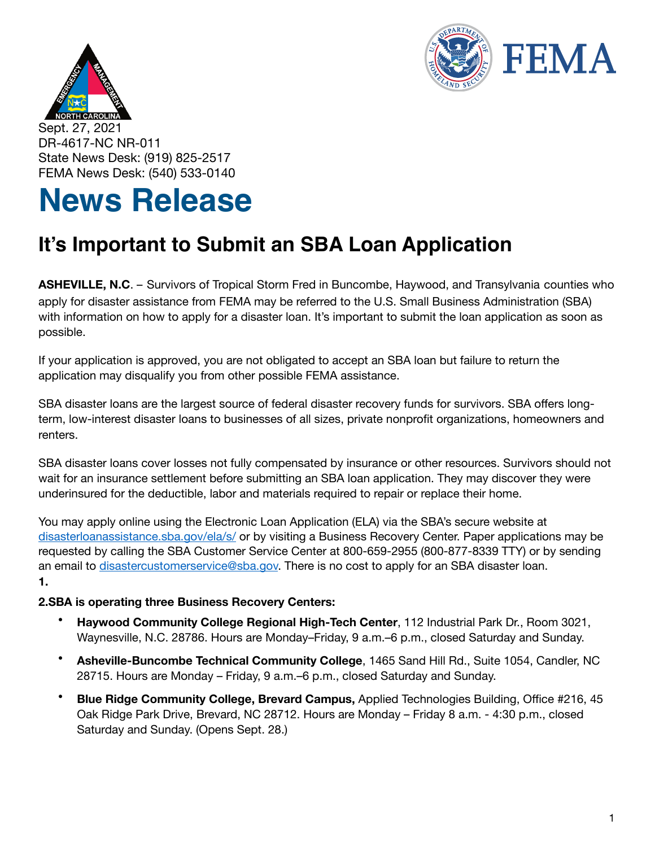



Sept. 27, 2021 DR-4617-NC NR-011 State News Desk: (919) 825-2517 FEMA News Desk: (540) 533-0140

## **News Release**

## **It's Important to Submit an SBA Loan Application**

**ASHEVILLE, N.C**. – Survivors of Tropical Storm Fred in Buncombe, Haywood, and Transylvania counties who apply for disaster assistance from FEMA may be referred to the U.S. Small Business Administration (SBA) with information on how to apply for a disaster loan. It's important to submit the loan application as soon as possible.

If your application is approved, you are not obligated to accept an SBA loan but failure to return the application may disqualify you from other possible FEMA assistance.

SBA disaster loans are the largest source of federal disaster recovery funds for survivors. SBA offers longterm, low-interest disaster loans to businesses of all sizes, private nonprofit organizations, homeowners and renters.

SBA disaster loans cover losses not fully compensated by insurance or other resources. Survivors should not wait for an insurance settlement before submitting an SBA loan application. They may discover they were underinsured for the deductible, labor and materials required to repair or replace their home.

You may apply online using the Electronic Loan Application (ELA) via the SBA's secure website at [disasterloanassistance.sba.gov/ela/s/](https://disasterloanassistance.sba.gov/ela/s/) or by visiting a Business Recovery Center. Paper applications may be requested by calling the SBA Customer Service Center at 800-659-2955 (800-877-8339 TTY) or by sending an email to [disastercustomerservice@sba.gov.](mailto:disastercustomerservice@sba.gov) There is no cost to apply for an SBA disaster loan. **1.**

## **2.SBA is operating three Business Recovery Centers:**

- **Haywood Community College Regional High-Tech Center**, 112 Industrial Park Dr., Room 3021, Waynesville, N.C. 28786. Hours are Monday–Friday, 9 a.m.–6 p.m., closed Saturday and Sunday.
- **Asheville-Buncombe Technical Community College**, 1465 Sand Hill Rd., Suite 1054, Candler, NC 28715. Hours are Monday – Friday, 9 a.m.–6 p.m., closed Saturday and Sunday.
- **Blue Ridge Community College, Brevard Campus,** Applied Technologies Building, Office #216, 45 Oak Ridge Park Drive, Brevard, NC 28712. Hours are Monday – Friday 8 a.m. - 4:30 p.m., closed Saturday and Sunday. (Opens Sept. 28.)